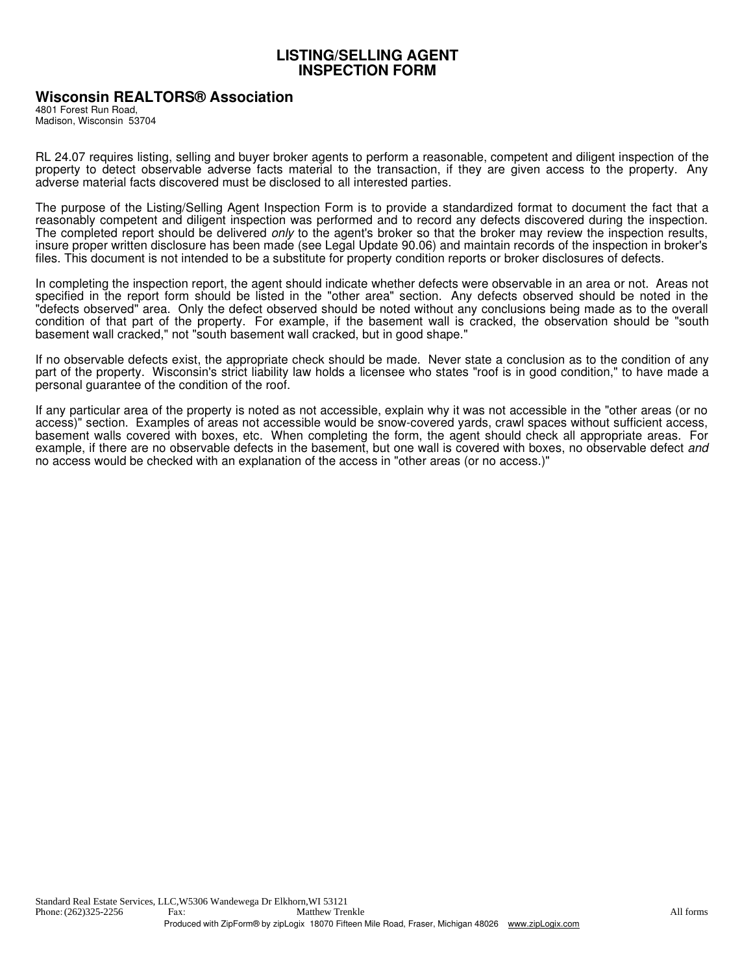## **LISTING/SELLING AGENT INSPECTION FORM**

## **Wisconsin REALTORS® Association**

4801 Forest Run Road, Madison, Wisconsin 53704

RL 24.07 requires listing, selling and buyer broker agents to perform a reasonable, competent and diligent inspection of the property to detect observable adverse facts material to the transaction, if they are given access to the property. Any adverse material facts discovered must be disclosed to all interested parties.

The purpose of the Listing/Selling Agent Inspection Form is to provide a standardized format to document the fact that a reasonably competent and diligent inspection was performed and to record any defects discovered during the inspection. The completed report should be delivered *only* to the agent's broker so that the broker may review the inspection results, insure proper written disclosure has been made (see Legal Update 90.06) and maintain records of the inspection in broker's files. This document is not intended to be a substitute for property condition reports or broker disclosures of defects.

In completing the inspection report, the agent should indicate whether defects were observable in an area or not. Areas not specified in the report form should be listed in the "other area" section. Any defects observed should be noted in the "defects observed" area. Only the defect observed should be noted without any conclusions being made as to the overall condition of that part of the property. For example, if the basement wall is cracked, the observation should be "south basement wall cracked," not "south basement wall cracked, but in good shape."

If no observable defects exist, the appropriate check should be made. Never state a conclusion as to the condition of any part of the property. Wisconsin's strict liability law holds a licensee who states "roof is in good condition," to have made a personal guarantee of the condition of the roof.

If any particular area of the property is noted as not accessible, explain why it was not accessible in the "other areas (or no access)" section. Examples of areas not accessible would be snow-covered yards, crawl spaces without sufficient access, basement walls covered with boxes, etc. When completing the form, the agent should check all appropriate areas. For example, if there are no observable defects in the basement, but one wall is covered with boxes, no observable defect and no access would be checked with an explanation of the access in "other areas (or no access.)"